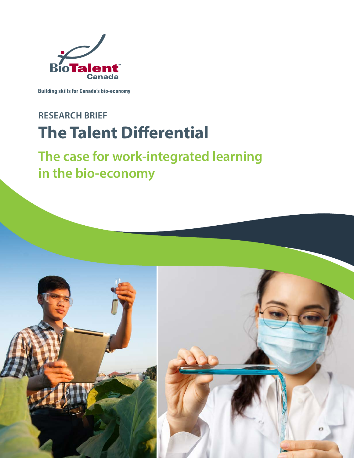

**Building skills for Canada's bio-economy** 

# **RESEARCH BRIEF The Talent Differential**

# **The case for work-integrated learning in the bio-economy**

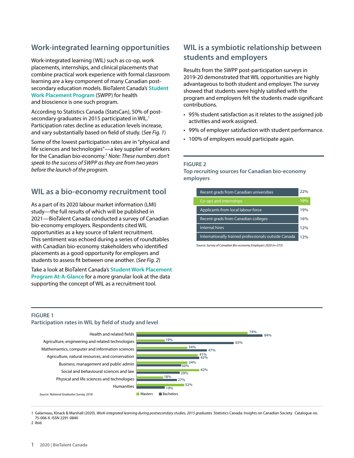# **Work-integrated learning opportunities**

Work-integrated learning (WIL) such as co-op, work placements, internships, and clinical placements that combine practical work experience with formal classroom learning are a key component of many Canadian postsecondary education models. BioTalent Canada's **[Student](https://www.biotalent.ca/programs/student-work-placement-program/)  [Work Placement Program](https://www.biotalent.ca/programs/student-work-placement-program/)** (SWPP) for health and bioscience is one such program.

According to Statistics Canada (StatsCan), 50% of postsecondary graduates in 2015 participated in WIL.<sup>1</sup> Participation rates decline as education levels increase, and vary substantially based on field of study. (*See Fig. 1*)

Some of the lowest participation rates are in "physical and life sciences and technologies"—a key supplier of workers for the Canadian bio-economy.2 *Note: These numbers don't speak to the success of SWPP as they are from two years before the launch of the program.*

# **WIL as a bio-economy recruitment tool**

As a part of its 2020 labour market information (LMI) study—the full results of which will be published in 2021—BioTalent Canada conducted a survey of Canadian bio-economy employers. Respondents cited WIL opportunities as a key source of talent recruitment. This sentiment was echoed during a series of roundtables with Canadian bio-economy stakeholders who identified placements as a good opportunity for employers and students to assess fit between one another. (*See Fig. 2*)

Take a look at BioTalent Canada's **[Student Work Placement](https://www.biotalent.ca/wp-content/uploads/BioTalent_Canada-SWPP_at-a-glance-2020.pdf)  [Program At-A-Glance](https://www.biotalent.ca/wp-content/uploads/BioTalent_Canada-SWPP_at-a-glance-2020.pdf)** for a more granular look at the data supporting the concept of WIL as a recruitment tool.

# **WIL is a symbiotic relationship between students and employers**

Results from the SWPP post-participation surveys in 2019-20 demonstrated that WIL opportunities are highly advantageous to both student and employer. The survey showed that students were highly satisfied with the program and employers felt the students made significant contributions.

- 95% student satisfaction as it relates to the assigned job activities and work assigned.
- 99% of employer satisfaction with student performance.
- 100% of employers would participate again.

#### **FIGURE 2**

**Top recruiting sources for Canadian bio-economy employers**



*Source: Survey of Canadian Bio-economy Employers 2020 (n=573)*

#### **FIGURE 1**

#### **Participation rates in WIL by field of study and level**



1 Galarneau, Kinack & Marshall (2020). *Work-integrated learning during postsecondary studies, 2015 graduates.* Statistics Canada: Insights on Canadian Society. Catalogue no. 75-006-X ISSN 2291-0840

2 Ibid.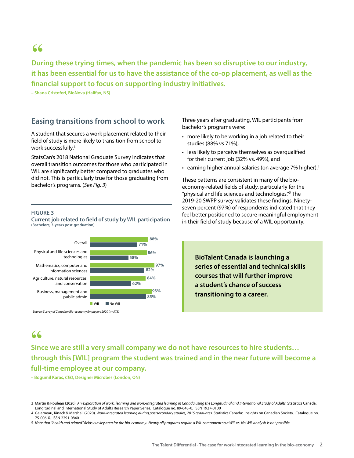# **"**

**During these trying times, when the pandemic has been so disruptive to our industry, it has been essential for us to have the assistance of the co-op placement, as well as the financial support to focus on supporting industry initiatives.** 

**– Shana Cristoferi, BioNova (Halifax, NS)**

# **Easing transitions from school to work**

A student that secures a work placement related to their field of study is more likely to transition from school to work successfully.3

StatsCan's 2018 National Graduate Survey indicates that overall transition outcomes for those who participated in WIL are significantly better compared to graduates who did not. This is particularly true for those graduating from bachelor's programs. (*See Fig. 3*)

Three years after graduating, WIL participants from bachelor's programs were:

- more likely to be working in a job related to their studies (88% vs 71%),
- less likely to perceive themselves as overqualified for their current job (32% vs. 49%), and
- earning higher annual salaries (on average 7% higher).4

These patterns are consistent in many of the bioeconomy-related fields of study, particularly for the "physical and life sciences and technologies."5 The 2019-20 SWPP survey validates these findings. Ninetyseven percent (97%) of respondents indicated that they feel better positioned to secure meaningful employment in their field of study because of a WIL opportunity.

**BioTalent Canada is launching a** 

**transitioning to a career.**

**series of essential and technical skills courses that will further improve a student's chance of success** 

#### **FIGURE 3**

**Current job related to field of study by WIL participation (Bachelors; 3-years post-graduation)**



*Source: Survey of Canadian Bio-economy Employers 2020 (n=573)*

**Since we are still a very small company we do not have resources to hire students… " through this [WIL] program the student was trained and in the near future will become a full-time employee at our company.** 

**– Bogumil Karas,** *CEO***, Designer Microbes (London, ON)**

<sup>3</sup> Martin & Rouleau (2020). *An exploration of work, learning and work-integrated learning in Canada using the Longitudinal and International Study of Adults.* Statistics Canada: Longitudinal and International Study of Adults Research Paper Series. Catalogue no. 89-648-X. ISSN 1927-0100

<sup>4</sup> Galarneau, Kinack & Marshall (2020). *Work-integrated learning during postsecondary studies, 2015 graduates.* Statistics Canada: Insights on Canadian Society. Catalogue no. 75-006-X. ISSN 2291-0840

<sup>5</sup> *Note that "health and related" fields is a key area for the bio-economy. Nearly all programs require a WIL component so a WIL vs. No WIL analysis is not possible.*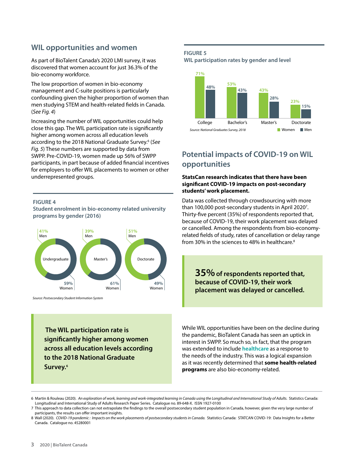## **WIL opportunities and women**

As part of BioTalent Canada's 2020 LMI survey, it was discovered that women account for just 36.3% of the bio-economy workforce.

The low proportion of women in bio-economy management and C-suite positions is particularly confounding given the higher proportion of women than men studying STEM and health-related fields in Canada. (*See Fig. 4*)

Increasing the number of WIL opportunities could help close this gap. The WIL participation rate is significantly higher among women across all education levels according to the 2018 National Graduate Survey.6 (*See Fig. 5*) These numbers are supported by data from SWPP. Pre-COVID-19, women made up 56% of SWPP participants, in part because of added financial incentives for employers to offer WIL placements to women or other underrepresented groups.

#### **FIGURE 4**

**Student enrolment in bio-economy related university programs by gender (2016)**



*Source: Postsecondary Student Information System*

 **The WIL participation rate is significantly higher among women across all education levels according to the 2018 National Graduate Survey.6**

#### **FIGURE 5 WIL participation rates by gender and level**



# **Potential impacts of COVID-19 on WIL opportunities**

#### **StatsCan research indicates that there have been significant COVID-19 impacts on post-secondary students' work placement.**

Data was collected through crowdsourcing with more than 100,000 post-secondary students in April 2020<sup>7</sup>. Thirty-five percent (35%) of respondents reported that, because of COVID-19, their work placement was delayed or cancelled. Among the respondents from bio-economyrelated fields of study, rates of cancellation or delay range from 30% in the sciences to 48% in healthcare.<sup>8</sup>

**35%** of respondents reported that, **because of COVID-19, their work placement was delayed or cancelled.**

While WIL opportunities have been on the decline during the pandemic, BioTalent Canada has seen an uptick in interest in SWPP. So much so, in fact, that the program was extended to include **[healthcare](https://www.biotalent.ca/student-work-placement-program-healthcare-list-of-sectors/)** as a response to the needs of the industry. This was a logical expansion as it was recently determined that **some health-related programs** are also bio-economy-related.

<sup>6</sup> Martin & Rouleau (2020). *An exploration of work, learning and work-integrated learning in Canada using the Longitudinal and International Study of Adults.* Statistics Canada: Longitudinal and International Study of Adults Research Paper Series. Catalogue no. 89-648-X. ISSN 1927-0100

<sup>7</sup> This approach to data collection can not extrapolate the findings to the overall postsecondary student population in Canada, however, given the very large number of participants, the results can offer important insights.

<sup>8</sup> Wall (2020). *COVID-19 pandemic : Impacts on the work placements of postsecondary students in Canada.* Statistics Canada: STATCAN COVID-19: Data Insights for a Better Canada. Catalogue no. 45280001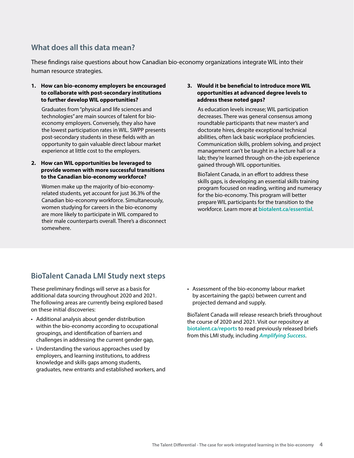# **What does all this data mean?**

These findings raise questions about how Canadian bio-economy organizations integrate WIL into their human resource strategies.

#### **1. How can bio-economy employers be encouraged to collaborate with post-secondary institutions to further develop WIL opportunities?**

Graduates from "physical and life sciences and technologies" are main sources of talent for bioeconomy employers. Conversely, they also have the lowest participation rates in WIL. SWPP presents post-secondary students in these fields with an opportunity to gain valuable direct labour market experience at little cost to the employers.

#### **2. How can WIL opportunities be leveraged to provide women with more successful transitions to the Canadian bio-economy workforce?**

Women make up the majority of bio-economyrelated students, yet account for just 36.3% of the Canadian bio-economy workforce. Simultaneously, women studying for careers in the bio-economy are more likely to participate in WIL compared to their male counterparts overall. There's a disconnect somewhere.

#### **3. Would it be beneficial to introduce more WIL opportunities at advanced degree levels to address these noted gaps?**

As education levels increase; WIL participation decreases. There was general consensus among roundtable participants that new master's and doctorate hires, despite exceptional technical abilities, often lack basic workplace proficiencies. Communication skills, problem solving, and project management can't be taught in a lecture hall or a lab; they're learned through on-the-job experience gained through WIL opportunities.

BioTalent Canada, in an effort to address these skills gaps, is developing an essential skills training program focused on reading, writing and numeracy for the bio-economy. This program will better prepare WIL participants for the transition to the workforce. Learn more at **[biotalent.ca/essential](http://biotalent.ca/essential)**.

# **BioTalent Canada LMI Study next steps**

These preliminary findings will serve as a basis for additional data sourcing throughout 2020 and 2021. The following areas are currently being explored based on these initial discoveries:

- Additional analysis about gender distribution within the bio-economy according to occupational groupings, and identification of barriers and challenges in addressing the current gender gap,
- Understanding the various approaches used by employers, and learning institutions, to address knowledge and skills gaps among students, graduates, new entrants and established workers, and
- Assessment of the bio-economy labour market by ascertaining the gap(s) between current and projected demand and supply.

BioTalent Canada will release research briefs throughout the course of 2020 and 2021. Visit our repository at **[biotalent.ca/reports](http://biotalent.ca/reports)** to read previously released briefs from this LMI study, including *[Amplifying Success](https://www.biotalent.ca/reports/amplifying-success/)*.